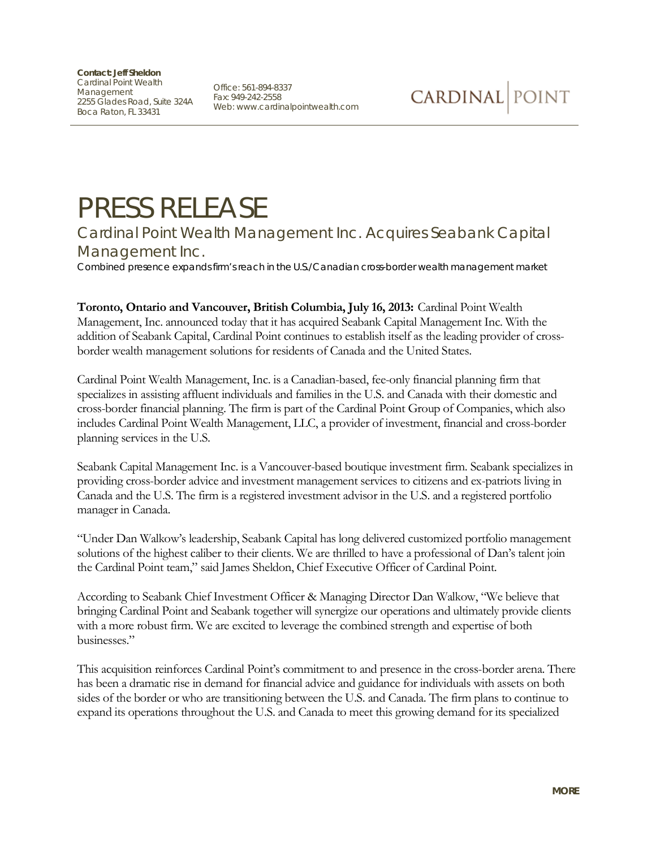**Contact: Jeff Sheldon** Cardinal Point Wealth Management 2255 Glades Road, Suite 324A Boca Raton, FL 33431

Office: 561-894-8337 Fax: 949-242-2558 Web: www.cardinalpointwealth.com

## PRESS RELEASE

Cardinal Point Wealth Management Inc. Acquires Seabank Capital Management Inc.

*Combined presence expands firm's reach in the U.S./Canadian cross-border wealth management market*

**Toronto, Ontario and Vancouver, British Columbia, July 16, 2013:** Cardinal Point Wealth Management, Inc. announced today that it has acquired Seabank Capital Management Inc. With the addition of Seabank Capital, Cardinal Point continues to establish itself as the leading provider of crossborder wealth management solutions for residents of Canada and the United States.

Cardinal Point Wealth Management, Inc. is a Canadian-based, fee-only financial planning firm that specializes in assisting affluent individuals and families in the U.S. and Canada with their domestic and cross-border financial planning. The firm is part of the Cardinal Point Group of Companies, which also includes Cardinal Point Wealth Management, LLC, a provider of investment, financial and cross-border planning services in the U.S.

Seabank Capital Management Inc. is a Vancouver-based boutique investment firm. Seabank specializes in providing cross-border advice and investment management services to citizens and ex-patriots living in Canada and the U.S. The firm is a registered investment advisor in the U.S. and a registered portfolio manager in Canada.

"Under Dan Walkow's leadership, Seabank Capital has long delivered customized portfolio management solutions of the highest caliber to their clients. We are thrilled to have a professional of Dan's talent join the Cardinal Point team," said James Sheldon, Chief Executive Officer of Cardinal Point.

According to Seabank Chief Investment Officer & Managing Director Dan Walkow, "We believe that bringing Cardinal Point and Seabank together will synergize our operations and ultimately provide clients with a more robust firm. We are excited to leverage the combined strength and expertise of both businesses."

This acquisition reinforces Cardinal Point's commitment to and presence in the cross-border arena. There has been a dramatic rise in demand for financial advice and guidance for individuals with assets on both sides of the border or who are transitioning between the U.S. and Canada. The firm plans to continue to expand its operations throughout the U.S. and Canada to meet this growing demand for its specialized